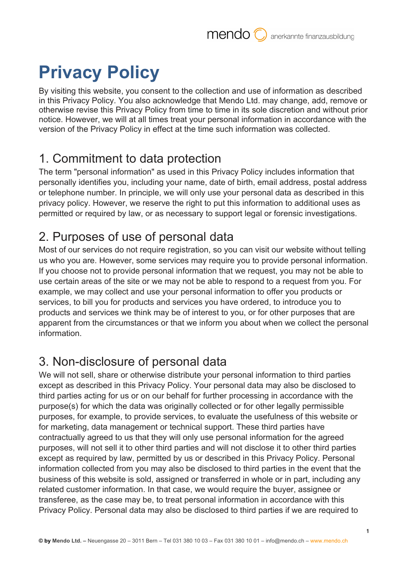# **Privacy Policy**

By visiting this website, you consent to the collection and use of information as described in this Privacy Policy. You also acknowledge that Mendo Ltd. may change, add, remove or otherwise revise this Privacy Policy from time to time in its sole discretion and without prior notice. However, we will at all times treat your personal information in accordance with the version of the Privacy Policy in effect at the time such information was collected.

#### 1. Commitment to data protection

The term "personal information" as used in this Privacy Policy includes information that personally identifies you, including your name, date of birth, email address, postal address or telephone number. In principle, we will only use your personal data as described in this privacy policy. However, we reserve the right to put this information to additional uses as permitted or required by law, or as necessary to support legal or forensic investigations.

# 2. Purposes of use of personal data

Most of our services do not require registration, so you can visit our website without telling us who you are. However, some services may require you to provide personal information. If you choose not to provide personal information that we request, you may not be able to use certain areas of the site or we may not be able to respond to a request from you. For example, we may collect and use your personal information to offer you products or services, to bill you for products and services you have ordered, to introduce you to products and services we think may be of interest to you, or for other purposes that are apparent from the circumstances or that we inform you about when we collect the personal information.

### 3. Non-disclosure of personal data

We will not sell, share or otherwise distribute your personal information to third parties except as described in this Privacy Policy. Your personal data may also be disclosed to third parties acting for us or on our behalf for further processing in accordance with the purpose(s) for which the data was originally collected or for other legally permissible purposes, for example, to provide services, to evaluate the usefulness of this website or for marketing, data management or technical support. These third parties have contractually agreed to us that they will only use personal information for the agreed purposes, will not sell it to other third parties and will not disclose it to other third parties except as required by law, permitted by us or described in this Privacy Policy. Personal information collected from you may also be disclosed to third parties in the event that the business of this website is sold, assigned or transferred in whole or in part, including any related customer information. In that case, we would require the buyer, assignee or transferee, as the case may be, to treat personal information in accordance with this Privacy Policy. Personal data may also be disclosed to third parties if we are required to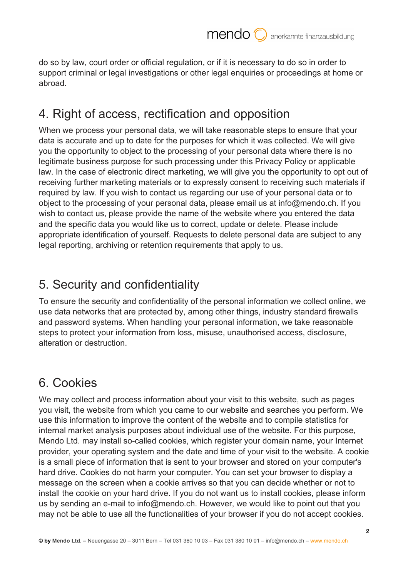do so by law, court order or official regulation, or if it is necessary to do so in order to support criminal or legal investigations or other legal enquiries or proceedings at home or abroad.

#### 4. Right of access, rectification and opposition

When we process your personal data, we will take reasonable steps to ensure that your data is accurate and up to date for the purposes for which it was collected. We will give you the opportunity to object to the processing of your personal data where there is no legitimate business purpose for such processing under this Privacy Policy or applicable law. In the case of electronic direct marketing, we will give you the opportunity to opt out of receiving further marketing materials or to expressly consent to receiving such materials if required by law. If you wish to contact us regarding our use of your personal data or to object to the processing of your personal data, please email us at info@mendo.ch. If you wish to contact us, please provide the name of the website where you entered the data and the specific data you would like us to correct, update or delete. Please include appropriate identification of yourself. Requests to delete personal data are subject to any legal reporting, archiving or retention requirements that apply to us.

#### 5. Security and confidentiality

To ensure the security and confidentiality of the personal information we collect online, we use data networks that are protected by, among other things, industry standard firewalls and password systems. When handling your personal information, we take reasonable steps to protect your information from loss, misuse, unauthorised access, disclosure, alteration or destruction.

### 6. Cookies

We may collect and process information about your visit to this website, such as pages you visit, the website from which you came to our website and searches you perform. We use this information to improve the content of the website and to compile statistics for internal market analysis purposes about individual use of the website. For this purpose, Mendo Ltd. may install so-called cookies, which register your domain name, your Internet provider, your operating system and the date and time of your visit to the website. A cookie is a small piece of information that is sent to your browser and stored on your computer's hard drive. Cookies do not harm your computer. You can set your browser to display a message on the screen when a cookie arrives so that you can decide whether or not to install the cookie on your hard drive. If you do not want us to install cookies, please inform us by sending an e-mail to info@mendo.ch. However, we would like to point out that you may not be able to use all the functionalities of your browser if you do not accept cookies.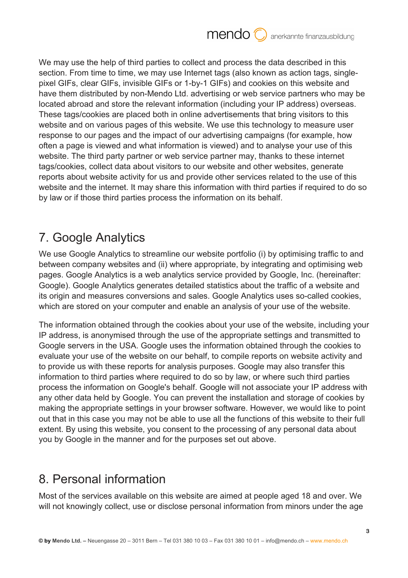We may use the help of third parties to collect and process the data described in this section. From time to time, we may use Internet tags (also known as action tags, singlepixel GIFs, clear GIFs, invisible GIFs or 1-by-1 GIFs) and cookies on this website and have them distributed by non-Mendo Ltd. advertising or web service partners who may be located abroad and store the relevant information (including your IP address) overseas. These tags/cookies are placed both in online advertisements that bring visitors to this website and on various pages of this website. We use this technology to measure user response to our pages and the impact of our advertising campaigns (for example, how often a page is viewed and what information is viewed) and to analyse your use of this website. The third party partner or web service partner may, thanks to these internet tags/cookies, collect data about visitors to our website and other websites, generate reports about website activity for us and provide other services related to the use of this website and the internet. It may share this information with third parties if required to do so by law or if those third parties process the information on its behalf.

# 7. Google Analytics

We use Google Analytics to streamline our website portfolio (i) by optimising traffic to and between company websites and (ii) where appropriate, by integrating and optimising web pages. Google Analytics is a web analytics service provided by Google, Inc. (hereinafter: Google). Google Analytics generates detailed statistics about the traffic of a website and its origin and measures conversions and sales. Google Analytics uses so-called cookies, which are stored on your computer and enable an analysis of your use of the website.

The information obtained through the cookies about your use of the website, including your IP address, is anonymised through the use of the appropriate settings and transmitted to Google servers in the USA. Google uses the information obtained through the cookies to evaluate your use of the website on our behalf, to compile reports on website activity and to provide us with these reports for analysis purposes. Google may also transfer this information to third parties where required to do so by law, or where such third parties process the information on Google's behalf. Google will not associate your IP address with any other data held by Google. You can prevent the installation and storage of cookies by making the appropriate settings in your browser software. However, we would like to point out that in this case you may not be able to use all the functions of this website to their full extent. By using this website, you consent to the processing of any personal data about you by Google in the manner and for the purposes set out above.

### 8. Personal information

Most of the services available on this website are aimed at people aged 18 and over. We will not knowingly collect, use or disclose personal information from minors under the age